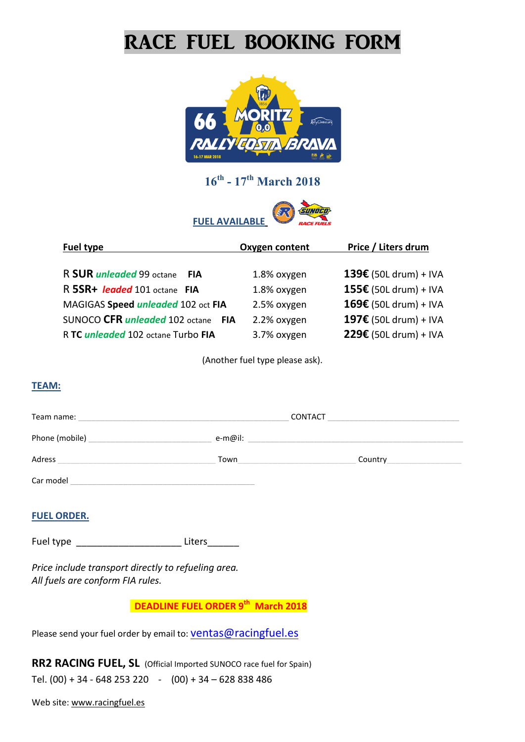# RACE FUEL BOOKING FORM



## **16th - 17th March 2018**

**FUEL AVAILABLE**



| Fuel type                                     |            | Oxygen content | Price / Liters drum     |
|-----------------------------------------------|------------|----------------|-------------------------|
|                                               |            |                |                         |
| R SUR <i>unleaded</i> 99 octane<br><b>FIA</b> |            | 1.8% oxygen    | 139€ (50L drum) + IVA   |
| R 5SR+ leaded 101 octane FIA                  |            | 1.8% oxygen    | 155€ (50L drum) + IVA   |
| MAGIGAS Speed unleaded 102 oct FIA            |            | 2.5% oxygen    | $169€$ (50L drum) + IVA |
| SUNOCO CFR <i>unleaded</i> 102 octane         | <b>FIA</b> | 2.2% oxygen    | 197€ (50L drum) + IVA   |
| R TC unleaded 102 octane Turbo FIA            |            | 3.7% oxygen    | 229€ (50L drum) + IVA   |

(Another fuel type please ask).

#### **TEAM:**

| Team name:     | <b>CONTACT</b> |  |         |  |
|----------------|----------------|--|---------|--|
| Phone (mobile) | e-m@il:        |  |         |  |
| Adress         | Town           |  | Country |  |
| Car model      |                |  |         |  |

#### **FUEL ORDER.**

Fuel type \_\_\_\_\_\_\_\_\_\_\_\_\_\_\_\_\_\_\_\_\_\_\_\_\_\_Liters\_\_\_\_\_\_\_\_

*Price include transport directly to refueling area. All fuels are conform FIA rules.*

**DEADLINE FUEL ORDER 9th March 2018** 

Please send your fuel order by email to: [ventas@racingfuel.es](mailto:ventas@racingfuel.es)

**RR2 RACING FUEL, SL** (Official Imported SUNOCO race fuel for Spain) Tel.  $(00) + 34 - 648253220 - (00) + 34 - 628838486$ 

Web site: [www.racingfuel.es](http://www.racingfuel.es/)